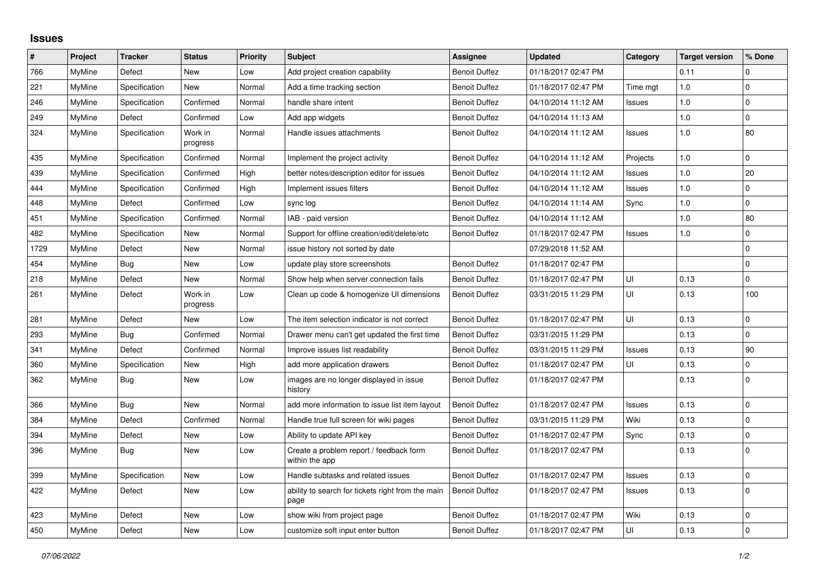## **Issues**

| #    | Project       | <b>Tracker</b> | <b>Status</b>       | Priority | <b>Subject</b>                                            | Assignee             | <b>Updated</b>      | Category      | <b>Target version</b> | % Done       |
|------|---------------|----------------|---------------------|----------|-----------------------------------------------------------|----------------------|---------------------|---------------|-----------------------|--------------|
| 766  | MyMine        | Defect         | <b>New</b>          | Low      | Add project creation capability                           | Benoit Duffez        | 01/18/2017 02:47 PM |               | 0.11                  | $\Omega$     |
| 221  | <b>MyMine</b> | Specification  | New                 | Normal   | Add a time tracking section                               | <b>Benoit Duffez</b> | 01/18/2017 02:47 PM | Time mgt      | 1.0                   | $\mathbf 0$  |
| 246  | MyMine        | Specification  | Confirmed           | Normal   | handle share intent                                       | <b>Benoit Duffez</b> | 04/10/2014 11:12 AM | <b>Issues</b> | $1.0$                 | $\mathbf 0$  |
| 249  | MyMine        | Defect         | Confirmed           | Low      | Add app widgets                                           | <b>Benoit Duffez</b> | 04/10/2014 11:13 AM |               | 1.0                   | $\mathbf{0}$ |
| 324  | MyMine        | Specification  | Work in<br>progress | Normal   | Handle issues attachments                                 | <b>Benoit Duffez</b> | 04/10/2014 11:12 AM | <b>Issues</b> | 1.0                   | 80           |
| 435  | MyMine        | Specification  | Confirmed           | Normal   | Implement the project activity                            | <b>Benoit Duffez</b> | 04/10/2014 11:12 AM | Projects      | 1.0                   | 0            |
| 439  | MyMine        | Specification  | Confirmed           | High     | better notes/description editor for issues                | <b>Benoit Duffez</b> | 04/10/2014 11:12 AM | <b>Issues</b> | 1.0                   | 20           |
| 444  | <b>MyMine</b> | Specification  | Confirmed           | High     | Implement issues filters                                  | <b>Benoit Duffez</b> | 04/10/2014 11:12 AM | <b>Issues</b> | 1.0                   | $\mathbf 0$  |
| 448  | MyMine        | Defect         | Confirmed           | Low      | sync log                                                  | <b>Benoit Duffez</b> | 04/10/2014 11:14 AM | Sync          | 1.0                   | $\Omega$     |
| 451  | <b>MyMine</b> | Specification  | Confirmed           | Normal   | IAB - paid version                                        | <b>Benoit Duffez</b> | 04/10/2014 11:12 AM |               | 1.0                   | 80           |
| 482  | <b>MyMine</b> | Specification  | New                 | Normal   | Support for offline creation/edit/delete/etc              | <b>Benoit Duffez</b> | 01/18/2017 02:47 PM | <b>Issues</b> | 1.0                   | 0            |
| 1729 | MyMine        | Defect         | New                 | Normal   | issue history not sorted by date                          |                      | 07/29/2018 11:52 AM |               |                       | $\mathbf 0$  |
| 454  | MyMine        | <b>Bug</b>     | New                 | Low      | update play store screenshots                             | <b>Benoit Duffez</b> | 01/18/2017 02:47 PM |               |                       | 0            |
| 218  | <b>MyMine</b> | Defect         | New                 | Normal   | Show help when server connection fails                    | <b>Benoit Duffez</b> | 01/18/2017 02:47 PM | UI            | 0.13                  | $\mathbf 0$  |
| 261  | MyMine        | Defect         | Work in<br>progress | Low      | Clean up code & homogenize UI dimensions                  | <b>Benoit Duffez</b> | 03/31/2015 11:29 PM | UI            | 0.13                  | 100          |
| 281  | MyMine        | Defect         | New                 | Low      | The item selection indicator is not correct               | <b>Benoit Duffez</b> | 01/18/2017 02:47 PM | UI            | 0.13                  | 0            |
| 293  | MyMine        | <b>Bug</b>     | Confirmed           | Normal   | Drawer menu can't get updated the first time              | <b>Benoit Duffez</b> | 03/31/2015 11:29 PM |               | 0.13                  | $\Omega$     |
| 341  | <b>MyMine</b> | Defect         | Confirmed           | Normal   | Improve issues list readability                           | <b>Benoit Duffez</b> | 03/31/2015 11:29 PM | <b>Issues</b> | 0.13                  | 90           |
| 360  | <b>MyMine</b> | Specification  | New                 | High     | add more application drawers                              | <b>Benoit Duffez</b> | 01/18/2017 02:47 PM | UI            | 0.13                  | 0            |
| 362  | MyMine        | <b>Bug</b>     | <b>New</b>          | Low      | images are no longer displayed in issue<br>history        | <b>Benoit Duffez</b> | 01/18/2017 02:47 PM |               | 0.13                  | $\Omega$     |
| 366  | <b>MyMine</b> | <b>Bug</b>     | <b>New</b>          | Normal   | add more information to issue list item layout            | <b>Benoit Duffez</b> | 01/18/2017 02:47 PM | Issues        | 0.13                  | $\mathbf 0$  |
| 384  | MyMine        | Defect         | Confirmed           | Normal   | Handle true full screen for wiki pages                    | <b>Benoit Duffez</b> | 03/31/2015 11:29 PM | Wiki          | 0.13                  | $\pmb{0}$    |
| 394  | MyMine        | Defect         | <b>New</b>          | Low      | Ability to update API key                                 | <b>Benoit Duffez</b> | 01/18/2017 02:47 PM | Sync          | 0.13                  | $\mathbf 0$  |
| 396  | MyMine        | Bug            | New                 | Low      | Create a problem report / feedback form<br>within the app | <b>Benoit Duffez</b> | 01/18/2017 02:47 PM |               | 0.13                  | $\mathbf 0$  |
| 399  | <b>MyMine</b> | Specification  | New                 | Low      | Handle subtasks and related issues                        | <b>Benoit Duffez</b> | 01/18/2017 02:47 PM | Issues        | 0.13                  | $\mathbf 0$  |
| 422  | MyMine        | Defect         | New                 | Low      | ability to search for tickets right from the main<br>page | <b>Benoit Duffez</b> | 01/18/2017 02:47 PM | <b>Issues</b> | 0.13                  | $\Omega$     |
| 423  | MyMine        | Defect         | <b>New</b>          | Low      | show wiki from project page                               | <b>Benoit Duffez</b> | 01/18/2017 02:47 PM | Wiki          | 0.13                  | $\mathbf 0$  |
| 450  | MyMine        | Defect         | <b>New</b>          | Low      | customize soft input enter button                         | <b>Benoit Duffez</b> | 01/18/2017 02:47 PM | UI            | 0.13                  | $\mathbf 0$  |